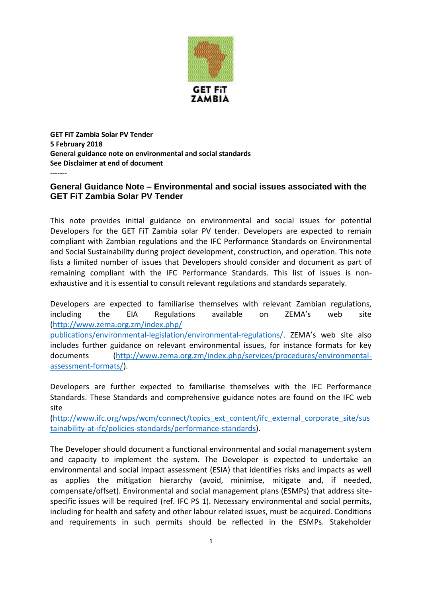

**GET FiT Zambia Solar PV Tender 5 February 2018 General guidance note on environmental and social standards See Disclaimer at end of document -------**

## **General Guidance Note – Environmental and social issues associated with the GET FiT Zambia Solar PV Tender**

This note provides initial guidance on environmental and social issues for potential Developers for the GET FiT Zambia solar PV tender. Developers are expected to remain compliant with Zambian regulations and the IFC Performance Standards on Environmental and Social Sustainability during project development, construction, and operation. This note lists a limited number of issues that Developers should consider and document as part of remaining compliant with the IFC Performance Standards. This list of issues is nonexhaustive and it is essential to consult relevant regulations and standards separately.

Developers are expected to familiarise themselves with relevant Zambian regulations, including the EIA Regulations available on ZEMA's web site [\(http://www.zema.org.zm/index.php/](http://www.zema.org.zm/index.php/publications/environmental-legislation/environmental-regulations/)

[publications/environmental-legislation/environmental-regulations/](http://www.zema.org.zm/index.php/publications/environmental-legislation/environmental-regulations/). ZEMA's web site also includes further guidance on relevant environmental issues, for instance formats for key documents [\(http://www.zema.org.zm/index.php/services/procedures/environmental](http://www.zema.org.zm/index.php/services/procedures/environmental-assessment-formats/)[assessment-formats/\)](http://www.zema.org.zm/index.php/services/procedures/environmental-assessment-formats/).

Developers are further expected to familiarise themselves with the IFC Performance Standards. These Standards and comprehensive guidance notes are found on the IFC web site

[\(http://www.ifc.org/wps/wcm/connect/topics\\_ext\\_content/ifc\\_external\\_corporate\\_site/sus](http://www.ifc.org/wps/wcm/connect/topics_ext_content/ifc_external_corporate_site/sustainability-at-ifc/policies-standards/performance-standards) [tainability-at-ifc/policies-standards/performance-standards\)](http://www.ifc.org/wps/wcm/connect/topics_ext_content/ifc_external_corporate_site/sustainability-at-ifc/policies-standards/performance-standards).

The Developer should document a functional environmental and social management system and capacity to implement the system. The Developer is expected to undertake an environmental and social impact assessment (ESIA) that identifies risks and impacts as well as applies the mitigation hierarchy (avoid, minimise, mitigate and, if needed, compensate/offset). Environmental and social management plans (ESMPs) that address sitespecific issues will be required (ref. IFC PS 1). Necessary environmental and social permits, including for health and safety and other labour related issues, must be acquired. Conditions and requirements in such permits should be reflected in the ESMPs. Stakeholder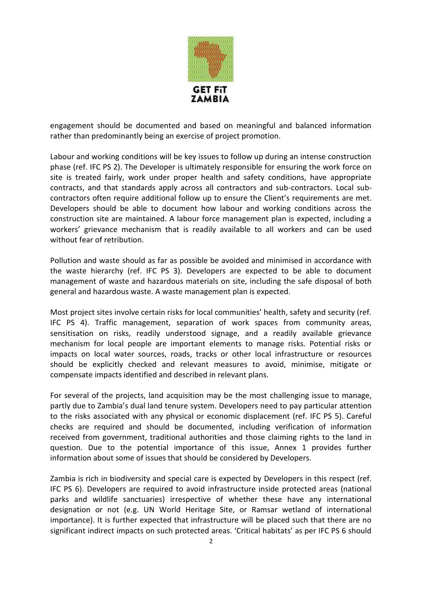

engagement should be documented and based on meaningful and balanced information rather than predominantly being an exercise of project promotion.

Labour and working conditions will be key issues to follow up during an intense construction phase (ref. IFC PS 2). The Developer is ultimately responsible for ensuring the work force on site is treated fairly, work under proper health and safety conditions, have appropriate contracts, and that standards apply across all contractors and sub-contractors. Local subcontractors often require additional follow up to ensure the Client's requirements are met. Developers should be able to document how labour and working conditions across the construction site are maintained. A labour force management plan is expected, including a workers' grievance mechanism that is readily available to all workers and can be used without fear of retribution.

Pollution and waste should as far as possible be avoided and minimised in accordance with the waste hierarchy (ref. IFC PS 3). Developers are expected to be able to document management of waste and hazardous materials on site, including the safe disposal of both general and hazardous waste. A waste management plan is expected.

Most project sites involve certain risks for local communities' health, safety and security (ref. IFC PS 4). Traffic management, separation of work spaces from community areas, sensitisation on risks, readily understood signage, and a readily available grievance mechanism for local people are important elements to manage risks. Potential risks or impacts on local water sources, roads, tracks or other local infrastructure or resources should be explicitly checked and relevant measures to avoid, minimise, mitigate or compensate impacts identified and described in relevant plans.

For several of the projects, land acquisition may be the most challenging issue to manage, partly due to Zambia's dual land tenure system. Developers need to pay particular attention to the risks associated with any physical or economic displacement (ref. IFC PS 5). Careful checks are required and should be documented, including verification of information received from government, traditional authorities and those claiming rights to the land in question. Due to the potential importance of this issue, Annex 1 provides further information about some of issues that should be considered by Developers.

Zambia is rich in biodiversity and special care is expected by Developers in this respect (ref. IFC PS 6). Developers are required to avoid infrastructure inside protected areas (national parks and wildlife sanctuaries) irrespective of whether these have any international designation or not (e.g. UN World Heritage Site, or Ramsar wetland of international importance). It is further expected that infrastructure will be placed such that there are no significant indirect impacts on such protected areas. 'Critical habitats' as per IFC PS 6 should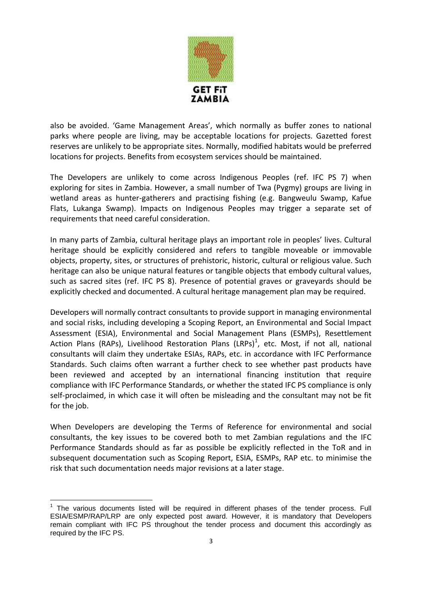

also be avoided. 'Game Management Areas', which normally as buffer zones to national parks where people are living, may be acceptable locations for projects. Gazetted forest reserves are unlikely to be appropriate sites. Normally, modified habitats would be preferred locations for projects. Benefits from ecosystem services should be maintained.

The Developers are unlikely to come across Indigenous Peoples (ref. IFC PS 7) when exploring for sites in Zambia. However, a small number of Twa (Pygmy) groups are living in wetland areas as hunter-gatherers and practising fishing (e.g. Bangweulu Swamp, Kafue Flats, Lukanga Swamp). Impacts on Indigenous Peoples may trigger a separate set of requirements that need careful consideration.

In many parts of Zambia, cultural heritage plays an important role in peoples' lives. Cultural heritage should be explicitly considered and refers to tangible moveable or immovable objects, property, sites, or structures of prehistoric, historic, cultural or religious value. Such heritage can also be unique natural features or tangible objects that embody cultural values, such as sacred sites (ref. IFC PS 8). Presence of potential graves or graveyards should be explicitly checked and documented. A cultural heritage management plan may be required.

Developers will normally contract consultants to provide support in managing environmental and social risks, including developing a Scoping Report, an Environmental and Social Impact Assessment (ESIA), Environmental and Social Management Plans (ESMPs), Resettlement Action Plans (RAPs), Livelihood Restoration Plans (LRPs)<sup>1</sup>, etc. Most, if not all, national consultants will claim they undertake ESIAs, RAPs, etc. in accordance with IFC Performance Standards. Such claims often warrant a further check to see whether past products have been reviewed and accepted by an international financing institution that require compliance with IFC Performance Standards, or whether the stated IFC PS compliance is only self-proclaimed, in which case it will often be misleading and the consultant may not be fit for the job.

When Developers are developing the Terms of Reference for environmental and social consultants, the key issues to be covered both to met Zambian regulations and the IFC Performance Standards should as far as possible be explicitly reflected in the ToR and in subsequent documentation such as Scoping Report, ESIA, ESMPs, RAP etc. to minimise the risk that such documentation needs major revisions at a later stage.

 $\overline{a}$ 1 The various documents listed will be required in different phases of the tender process. Full ESIA/ESMP/RAP/LRP are only expected post award. However, it is mandatory that Developers remain compliant with IFC PS throughout the tender process and document this accordingly as required by the IFC PS.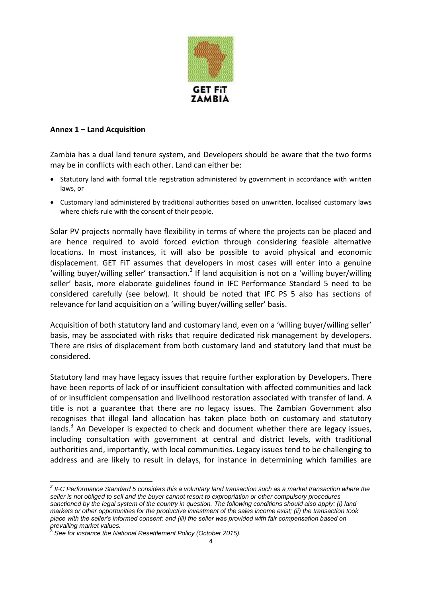

## **Annex 1 – Land Acquisition**

Zambia has a dual land tenure system, and Developers should be aware that the two forms may be in conflicts with each other. Land can either be:

- Statutory land with formal title registration administered by government in accordance with written laws, or
- Customary land administered by traditional authorities based on unwritten, localised customary laws where chiefs rule with the consent of their people.

Solar PV projects normally have flexibility in terms of where the projects can be placed and are hence required to avoid forced eviction through considering feasible alternative locations. In most instances, it will also be possible to avoid physical and economic displacement. GET FiT assumes that developers in most cases will enter into a genuine 'willing buyer/willing seller' transaction.<sup>2</sup> If land acquisition is not on a 'willing buyer/willing seller' basis, more elaborate guidelines found in IFC Performance Standard 5 need to be considered carefully (see below). It should be noted that IFC PS 5 also has sections of relevance for land acquisition on a 'willing buyer/willing seller' basis.

Acquisition of both statutory land and customary land, even on a 'willing buyer/willing seller' basis, may be associated with risks that require dedicated risk management by developers. There are risks of displacement from both customary land and statutory land that must be considered.

Statutory land may have legacy issues that require further exploration by Developers. There have been reports of lack of or insufficient consultation with affected communities and lack of or insufficient compensation and livelihood restoration associated with transfer of land. A title is not a guarantee that there are no legacy issues. The Zambian Government also recognises that illegal land allocation has taken place both on customary and statutory lands. $3$  An Developer is expected to check and document whether there are legacy issues, including consultation with government at central and district levels, with traditional authorities and, importantly, with local communities. Legacy issues tend to be challenging to address and are likely to result in delays, for instance in determining which families are

 *2 IFC Performance Standard 5 considers this a voluntary land transaction such as a market transaction where the seller is not obliged to sell and the buyer cannot resort to expropriation or other compulsory procedures sanctioned by the legal system of the country in question. The following conditions should also apply: (i) land markets or other opportunities for the productive investment of the sales income exist; (ii) the transaction took place with the seller's informed consent; and (iii) the seller was provided with fair compensation based on prevailing market values.*  3

*See for instance the National Resettlement Policy (October 2015).*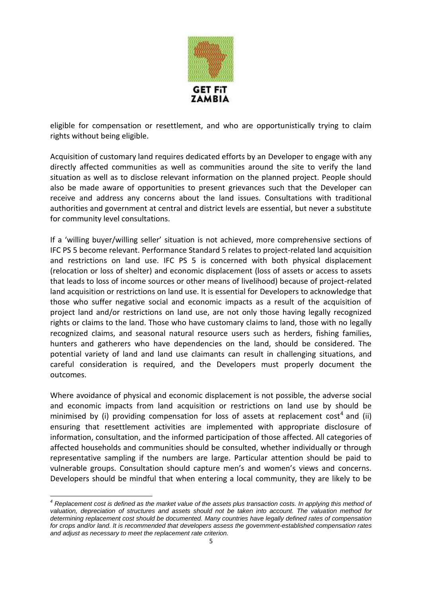

eligible for compensation or resettlement, and who are opportunistically trying to claim rights without being eligible.

Acquisition of customary land requires dedicated efforts by an Developer to engage with any directly affected communities as well as communities around the site to verify the land situation as well as to disclose relevant information on the planned project. People should also be made aware of opportunities to present grievances such that the Developer can receive and address any concerns about the land issues. Consultations with traditional authorities and government at central and district levels are essential, but never a substitute for community level consultations.

If a 'willing buyer/willing seller' situation is not achieved, more comprehensive sections of IFC PS 5 become relevant. Performance Standard 5 relates to project-related land acquisition and restrictions on land use. IFC PS 5 is concerned with both physical displacement (relocation or loss of shelter) and economic displacement (loss of assets or access to assets that leads to loss of income sources or other means of livelihood) because of project-related land acquisition or restrictions on land use. It is essential for Developers to acknowledge that those who suffer negative social and economic impacts as a result of the acquisition of project land and/or restrictions on land use, are not only those having legally recognized rights or claims to the land. Those who have customary claims to land, those with no legally recognized claims, and seasonal natural resource users such as herders, fishing families, hunters and gatherers who have dependencies on the land, should be considered. The potential variety of land and land use claimants can result in challenging situations, and careful consideration is required, and the Developers must properly document the outcomes.

Where avoidance of physical and economic displacement is not possible, the adverse social and economic impacts from land acquisition or restrictions on land use by should be minimised by (i) providing compensation for loss of assets at replacement cost<sup>4</sup> and (ii) ensuring that resettlement activities are implemented with appropriate disclosure of information, consultation, and the informed participation of those affected. All categories of affected households and communities should be consulted, whether individually or through representative sampling if the numbers are large. Particular attention should be paid to vulnerable groups. Consultation should capture men's and women's views and concerns. Developers should be mindful that when entering a local community, they are likely to be

 $\overline{a}$ 

*<sup>4</sup> Replacement cost is defined as the market value of the assets plus transaction costs. In applying this method of valuation, depreciation of structures and assets should not be taken into account. The valuation method for determining replacement cost should be documented. Many countries have legally defined rates of compensation for crops and/or land. It is recommended that developers assess the government-established compensation rates and adjust as necessary to meet the replacement rate criterion.*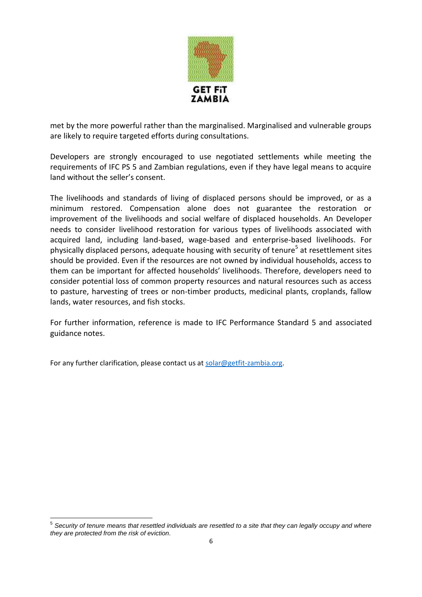

met by the more powerful rather than the marginalised. Marginalised and vulnerable groups are likely to require targeted efforts during consultations.

Developers are strongly encouraged to use negotiated settlements while meeting the requirements of IFC PS 5 and Zambian regulations, even if they have legal means to acquire land without the seller's consent.

The livelihoods and standards of living of displaced persons should be improved, or as a minimum restored. Compensation alone does not guarantee the restoration or improvement of the livelihoods and social welfare of displaced households. An Developer needs to consider livelihood restoration for various types of livelihoods associated with acquired land, including land-based, wage-based and enterprise-based livelihoods. For physically displaced persons, adequate housing with security of tenure<sup>5</sup> at resettlement sites should be provided. Even if the resources are not owned by individual households, access to them can be important for affected households' livelihoods. Therefore, developers need to consider potential loss of common property resources and natural resources such as access to pasture, harvesting of trees or non-timber products, medicinal plants, croplands, fallow lands, water resources, and fish stocks.

For further information, reference is made to IFC Performance Standard 5 and associated guidance notes.

For any further clarification, please contact us a[t solar@getfit-zambia.org.](mailto:solar@getfit-zambia.org)

 5 *Security of tenure means that resettled individuals are resettled to a site that they can legally occupy and where they are protected from the risk of eviction.*